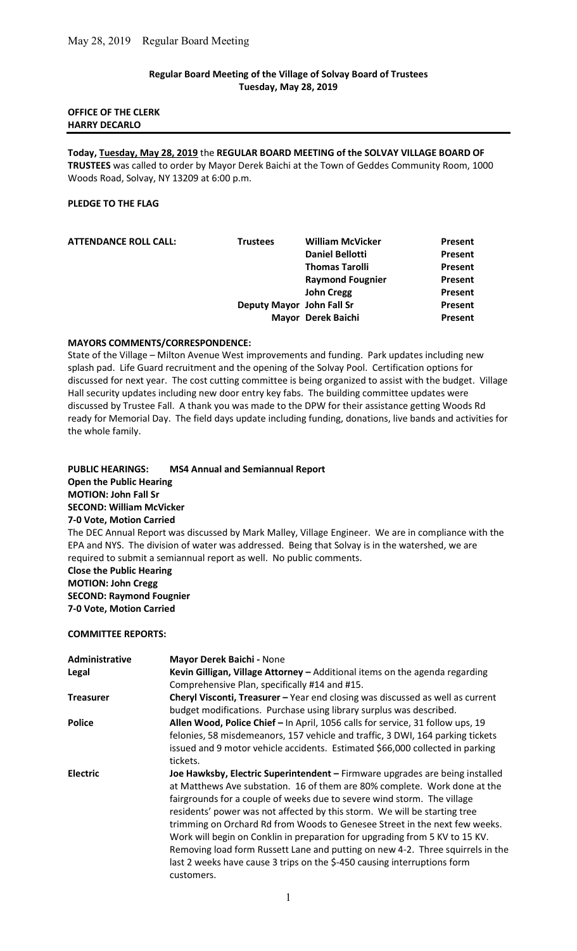### Regular Board Meeting of the Village of Solvay Board of Trustees Tuesday, May 28, 2019

### OFFICE OF THE CLERK HARRY DECARLO

Today, Tuesday, May 28, 2019 the REGULAR BOARD MEETING of the SOLVAY VILLAGE BOARD OF TRUSTEES was called to order by Mayor Derek Baichi at the Town of Geddes Community Room, 1000 Woods Road, Solvay, NY 13209 at 6:00 p.m.

### PLEDGE TO THE FLAG

|                         | Present                                                                    |
|-------------------------|----------------------------------------------------------------------------|
| <b>Daniel Bellotti</b>  | Present                                                                    |
| <b>Thomas Tarolli</b>   | Present                                                                    |
| <b>Raymond Fougnier</b> | Present                                                                    |
| <b>John Cregg</b>       | Present                                                                    |
|                         | Present                                                                    |
|                         | Present                                                                    |
| <b>Trustees</b>         | <b>William McVicker</b><br>Deputy Mayor John Fall Sr<br>Mayor Derek Baichi |

### MAYORS COMMENTS/CORRESPONDENCE:

State of the Village – Milton Avenue West improvements and funding. Park updates including new splash pad. Life Guard recruitment and the opening of the Solvay Pool. Certification options for discussed for next year. The cost cutting committee is being organized to assist with the budget. Village Hall security updates including new door entry key fabs. The building committee updates were discussed by Trustee Fall. A thank you was made to the DPW for their assistance getting Woods Rd ready for Memorial Day. The field days update including funding, donations, live bands and activities for the whole family.

PUBLIC HEARINGS: MS4 Annual and Semiannual Report Open the Public Hearing MOTION: John Fall Sr SECOND: William McVicker 7-0 Vote, Motion Carried The DEC Annual Report was discussed by Mark Malley, Village Engineer. We are in compliance with the EPA and NYS. The division of water was addressed. Being that Solvay is in the watershed, we are required to submit a semiannual report as well. No public comments. Close the Public Hearing MOTION: John Cregg SECOND: Raymond Fougnier 7-0 Vote, Motion Carried

### COMMITTEE REPORTS:

| Administrative   | Mayor Derek Baichi - None                                                      |
|------------------|--------------------------------------------------------------------------------|
| Legal            | Kevin Gilligan, Village Attorney - Additional items on the agenda regarding    |
|                  | Comprehensive Plan, specifically #14 and #15.                                  |
| <b>Treasurer</b> | Cheryl Visconti, Treasurer - Year end closing was discussed as well as current |
|                  | budget modifications. Purchase using library surplus was described.            |
| <b>Police</b>    | Allen Wood, Police Chief - In April, 1056 calls for service, 31 follow ups, 19 |
|                  | felonies, 58 misdemeanors, 157 vehicle and traffic, 3 DWI, 164 parking tickets |
|                  | issued and 9 motor vehicle accidents. Estimated \$66,000 collected in parking  |
|                  | tickets.                                                                       |
| <b>Electric</b>  | Joe Hawksby, Electric Superintendent - Firmware upgrades are being installed   |
|                  | at Matthews Ave substation. 16 of them are 80% complete. Work done at the      |
|                  | fairgrounds for a couple of weeks due to severe wind storm. The village        |
|                  | residents' power was not affected by this storm. We will be starting tree      |
|                  | trimming on Orchard Rd from Woods to Genesee Street in the next few weeks.     |
|                  | Work will begin on Conklin in preparation for upgrading from 5 KV to 15 KV.    |
|                  | Removing load form Russett Lane and putting on new 4-2. Three squirrels in the |
|                  | last 2 weeks have cause 3 trips on the \$-450 causing interruptions form       |
|                  | customers.                                                                     |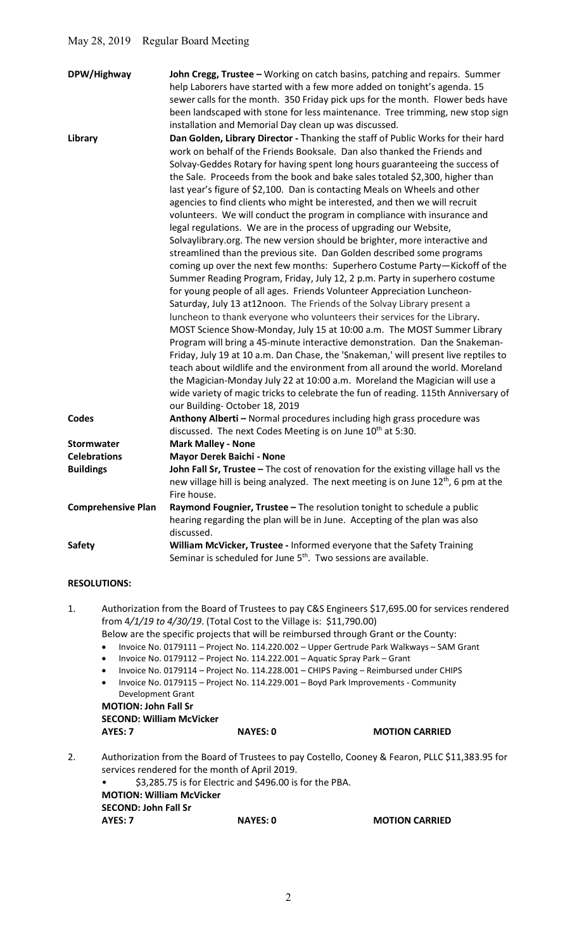| DPW/Highway               | John Cregg, Trustee - Working on catch basins, patching and repairs. Summer<br>help Laborers have started with a few more added on tonight's agenda. 15<br>sewer calls for the month. 350 Friday pick ups for the month. Flower beds have<br>been landscaped with stone for less maintenance. Tree trimming, new stop sign<br>installation and Memorial Day clean up was discussed.                                                                                                                                                                                                                                                                                                                                                                                                                                                                                                                                                                                                                                                                                                                                                                                                                                                                                                                                                                                                                                                                                                                                                                                                                                                                                                                                                     |
|---------------------------|-----------------------------------------------------------------------------------------------------------------------------------------------------------------------------------------------------------------------------------------------------------------------------------------------------------------------------------------------------------------------------------------------------------------------------------------------------------------------------------------------------------------------------------------------------------------------------------------------------------------------------------------------------------------------------------------------------------------------------------------------------------------------------------------------------------------------------------------------------------------------------------------------------------------------------------------------------------------------------------------------------------------------------------------------------------------------------------------------------------------------------------------------------------------------------------------------------------------------------------------------------------------------------------------------------------------------------------------------------------------------------------------------------------------------------------------------------------------------------------------------------------------------------------------------------------------------------------------------------------------------------------------------------------------------------------------------------------------------------------------|
| <b>Library</b>            | Dan Golden, Library Director - Thanking the staff of Public Works for their hard<br>work on behalf of the Friends Booksale. Dan also thanked the Friends and<br>Solvay-Geddes Rotary for having spent long hours guaranteeing the success of<br>the Sale. Proceeds from the book and bake sales totaled \$2,300, higher than<br>last year's figure of \$2,100. Dan is contacting Meals on Wheels and other<br>agencies to find clients who might be interested, and then we will recruit<br>volunteers. We will conduct the program in compliance with insurance and<br>legal regulations. We are in the process of upgrading our Website,<br>Solvaylibrary.org. The new version should be brighter, more interactive and<br>streamlined than the previous site. Dan Golden described some programs<br>coming up over the next few months: Superhero Costume Party-Kickoff of the<br>Summer Reading Program, Friday, July 12, 2 p.m. Party in superhero costume<br>for young people of all ages. Friends Volunteer Appreciation Luncheon-<br>Saturday, July 13 at12noon. The Friends of the Solvay Library present a<br>luncheon to thank everyone who volunteers their services for the Library.<br>MOST Science Show-Monday, July 15 at 10:00 a.m. The MOST Summer Library<br>Program will bring a 45-minute interactive demonstration. Dan the Snakeman-<br>Friday, July 19 at 10 a.m. Dan Chase, the 'Snakeman,' will present live reptiles to<br>teach about wildlife and the environment from all around the world. Moreland<br>the Magician-Monday July 22 at 10:00 a.m. Moreland the Magician will use a<br>wide variety of magic tricks to celebrate the fun of reading. 115th Anniversary of<br>our Building-October 18, 2019 |
| <b>Codes</b>              | Anthony Alberti - Normal procedures including high grass procedure was<br>discussed. The next Codes Meeting is on June 10 <sup>th</sup> at 5:30.                                                                                                                                                                                                                                                                                                                                                                                                                                                                                                                                                                                                                                                                                                                                                                                                                                                                                                                                                                                                                                                                                                                                                                                                                                                                                                                                                                                                                                                                                                                                                                                        |
| Stormwater                | <b>Mark Malley - None</b>                                                                                                                                                                                                                                                                                                                                                                                                                                                                                                                                                                                                                                                                                                                                                                                                                                                                                                                                                                                                                                                                                                                                                                                                                                                                                                                                                                                                                                                                                                                                                                                                                                                                                                               |
| <b>Celebrations</b>       | Mayor Derek Baichi - None                                                                                                                                                                                                                                                                                                                                                                                                                                                                                                                                                                                                                                                                                                                                                                                                                                                                                                                                                                                                                                                                                                                                                                                                                                                                                                                                                                                                                                                                                                                                                                                                                                                                                                               |
| <b>Buildings</b>          | John Fall Sr, Trustee - The cost of renovation for the existing village hall vs the<br>new village hill is being analyzed. The next meeting is on June 12 <sup>th</sup> , 6 pm at the                                                                                                                                                                                                                                                                                                                                                                                                                                                                                                                                                                                                                                                                                                                                                                                                                                                                                                                                                                                                                                                                                                                                                                                                                                                                                                                                                                                                                                                                                                                                                   |
|                           | Fire house.                                                                                                                                                                                                                                                                                                                                                                                                                                                                                                                                                                                                                                                                                                                                                                                                                                                                                                                                                                                                                                                                                                                                                                                                                                                                                                                                                                                                                                                                                                                                                                                                                                                                                                                             |
| <b>Comprehensive Plan</b> | Raymond Fougnier, Trustee - The resolution tonight to schedule a public<br>hearing regarding the plan will be in June. Accepting of the plan was also<br>discussed.                                                                                                                                                                                                                                                                                                                                                                                                                                                                                                                                                                                                                                                                                                                                                                                                                                                                                                                                                                                                                                                                                                                                                                                                                                                                                                                                                                                                                                                                                                                                                                     |
| <b>Safety</b>             | William McVicker, Trustee - Informed everyone that the Safety Training<br>Seminar is scheduled for June 5 <sup>th</sup> . Two sessions are available.                                                                                                                                                                                                                                                                                                                                                                                                                                                                                                                                                                                                                                                                                                                                                                                                                                                                                                                                                                                                                                                                                                                                                                                                                                                                                                                                                                                                                                                                                                                                                                                   |

# RESOLUTIONS:

- 1. Authorization from the Board of Trustees to pay C&S Engineers \$17,695.00 for services rendered from 4/1/19 to 4/30/19. (Total Cost to the Village is: \$11,790.00) Below are the specific projects that will be reimbursed through Grant or the County:
	- Invoice No. 0179111 Project No. 114.220.002 Upper Gertrude Park Walkways SAM Grant
	- Invoice No. 0179112 Project No. 114.222.001 Aquatic Spray Park Grant
	- Invoice No. 0179114 Project No. 114.228.001 CHIPS Paving Reimbursed under CHIPS
	- Invoice No. 0179115 Project No. 114.229.001 Boyd Park Improvements Community Development Grant

MOTION: John Fall Sr SECOND: William McVicker AYES: 7 NAYES: 0 MOTION CARRIED

- 2. Authorization from the Board of Trustees to pay Costello, Cooney & Fearon, PLLC \$11,383.95 for services rendered for the month of April 2019.
	- \$3,285.75 is for Electric and \$496.00 is for the PBA. MOTION: William McVicker SECOND: John Fall Sr AYES: 7 NAYES: 0 MOTION CARRIED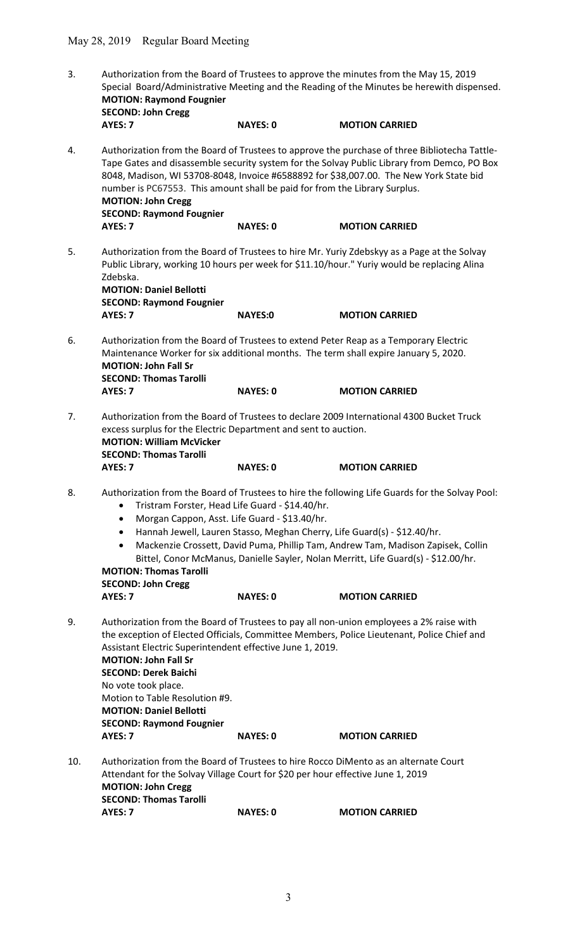| 3.  | Authorization from the Board of Trustees to approve the minutes from the May 15, 2019<br>Special Board/Administrative Meeting and the Reading of the Minutes be herewith dispensed.<br><b>MOTION: Raymond Fougnier</b><br><b>SECOND: John Cregg</b><br>AYES: 7<br><b>NAYES: 0</b><br><b>MOTION CARRIED</b> |                 |                                                                                                                                                                                                                                                                                                                                                       |  |
|-----|------------------------------------------------------------------------------------------------------------------------------------------------------------------------------------------------------------------------------------------------------------------------------------------------------------|-----------------|-------------------------------------------------------------------------------------------------------------------------------------------------------------------------------------------------------------------------------------------------------------------------------------------------------------------------------------------------------|--|
|     |                                                                                                                                                                                                                                                                                                            |                 |                                                                                                                                                                                                                                                                                                                                                       |  |
| 4.  | number is PC67553. This amount shall be paid for from the Library Surplus.<br><b>MOTION: John Cregg</b><br><b>SECOND: Raymond Fougnier</b>                                                                                                                                                                 |                 | Authorization from the Board of Trustees to approve the purchase of three Bibliotecha Tattle-<br>Tape Gates and disassemble security system for the Solvay Public Library from Demco, PO Box<br>8048, Madison, WI 53708-8048, Invoice #6588892 for \$38,007.00. The New York State bid                                                                |  |
|     | AYES: 7                                                                                                                                                                                                                                                                                                    | <b>NAYES: 0</b> | <b>MOTION CARRIED</b>                                                                                                                                                                                                                                                                                                                                 |  |
| 5.  | Zdebska.<br><b>MOTION: Daniel Bellotti</b><br><b>SECOND: Raymond Fougnier</b><br>AYES: 7                                                                                                                                                                                                                   | <b>NAYES:0</b>  | Authorization from the Board of Trustees to hire Mr. Yuriy Zdebskyy as a Page at the Solvay<br>Public Library, working 10 hours per week for \$11.10/hour." Yuriy would be replacing Alina<br><b>MOTION CARRIED</b>                                                                                                                                   |  |
|     |                                                                                                                                                                                                                                                                                                            |                 |                                                                                                                                                                                                                                                                                                                                                       |  |
| 6.  | Authorization from the Board of Trustees to extend Peter Reap as a Temporary Electric<br>Maintenance Worker for six additional months. The term shall expire January 5, 2020.<br><b>MOTION: John Fall Sr</b><br><b>SECOND: Thomas Tarolli</b>                                                              |                 |                                                                                                                                                                                                                                                                                                                                                       |  |
|     | AYES: 7                                                                                                                                                                                                                                                                                                    | <b>NAYES: 0</b> | <b>MOTION CARRIED</b>                                                                                                                                                                                                                                                                                                                                 |  |
| 7.  | excess surplus for the Electric Department and sent to auction.<br><b>MOTION: William McVicker</b><br><b>SECOND: Thomas Tarolli</b><br>AYES: 7                                                                                                                                                             | <b>NAYES: 0</b> | Authorization from the Board of Trustees to declare 2009 International 4300 Bucket Truck<br><b>MOTION CARRIED</b>                                                                                                                                                                                                                                     |  |
| 8.  | Tristram Forster, Head Life Guard - \$14.40/hr.<br>Morgan Cappon, Asst. Life Guard - \$13.40/hr.<br>$\bullet$<br>٠<br>$\bullet$<br><b>MOTION: Thomas Tarolli</b><br><b>SECOND: John Cregg</b>                                                                                                              |                 | Authorization from the Board of Trustees to hire the following Life Guards for the Solvay Pool:<br>Hannah Jewell, Lauren Stasso, Meghan Cherry, Life Guard(s) - \$12.40/hr.<br>Mackenzie Crossett, David Puma, Phillip Tam, Andrew Tam, Madison Zapisek, Collin<br>Bittel, Conor McManus, Danielle Sayler, Nolan Merritt, Life Guard(s) - \$12.00/hr. |  |
|     | AYES: 7                                                                                                                                                                                                                                                                                                    | <b>NAYES: 0</b> | <b>MOTION CARRIED</b>                                                                                                                                                                                                                                                                                                                                 |  |
| 9.  | Assistant Electric Superintendent effective June 1, 2019.<br><b>MOTION: John Fall Sr</b><br><b>SECOND: Derek Baichi</b><br>No vote took place.<br>Motion to Table Resolution #9.<br><b>MOTION: Daniel Bellotti</b><br><b>SECOND: Raymond Fougnier</b>                                                      |                 | Authorization from the Board of Trustees to pay all non-union employees a 2% raise with<br>the exception of Elected Officials, Committee Members, Police Lieutenant, Police Chief and                                                                                                                                                                 |  |
|     | AYES: 7                                                                                                                                                                                                                                                                                                    | <b>NAYES: 0</b> | <b>MOTION CARRIED</b>                                                                                                                                                                                                                                                                                                                                 |  |
| 10. | Authorization from the Board of Trustees to hire Rocco DiMento as an alternate Court<br>Attendant for the Solvay Village Court for \$20 per hour effective June 1, 2019<br><b>MOTION: John Cregg</b><br><b>SECOND: Thomas Tarolli</b>                                                                      |                 |                                                                                                                                                                                                                                                                                                                                                       |  |
|     | AYES: 7                                                                                                                                                                                                                                                                                                    | <b>NAYES: 0</b> | <b>MOTION CARRIED</b>                                                                                                                                                                                                                                                                                                                                 |  |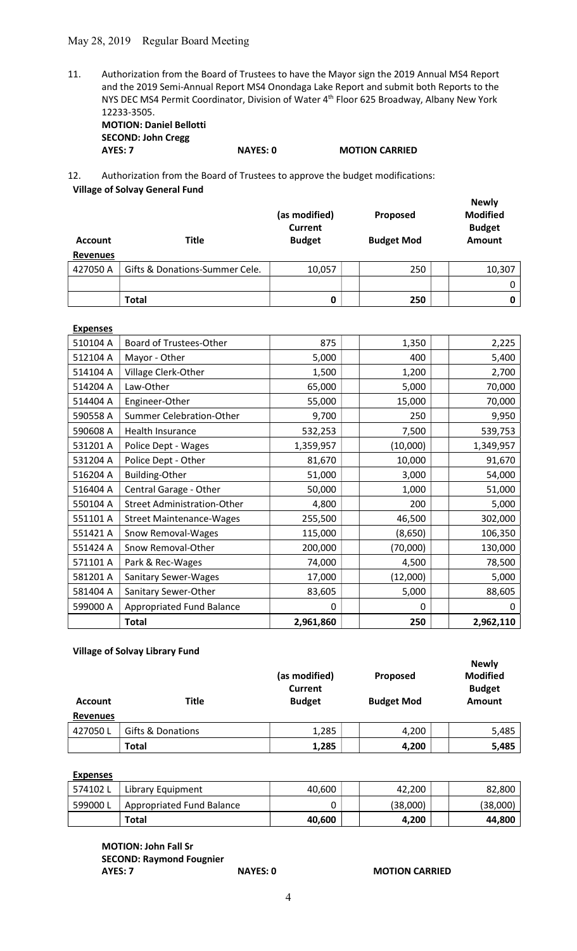# May 28, 2019 Regular Board Meeting

11. Authorization from the Board of Trustees to have the Mayor sign the 2019 Annual MS4 Report and the 2019 Semi-Annual Report MS4 Onondaga Lake Report and submit both Reports to the NYS DEC MS4 Permit Coordinator, Division of Water 4th Floor 625 Broadway, Albany New York 12233-3505. MOTION: Daniel Bellotti

SECOND: John Cregg

AYES: 7 NAYES: 0 MOTION CARRIED

12. Authorization from the Board of Trustees to approve the budget modifications: Village of Solvay General Fund

| <b>Account</b>  | <b>Title</b>                   | (as modified)<br><b>Current</b><br><b>Budget</b> | Proposed<br><b>Budget Mod</b> | <b>Newly</b><br><b>Modified</b><br><b>Budget</b><br>Amount |
|-----------------|--------------------------------|--------------------------------------------------|-------------------------------|------------------------------------------------------------|
| <b>Revenues</b> |                                |                                                  |                               |                                                            |
| 427050 A        | Gifts & Donations-Summer Cele. | 10,057                                           | 250                           | 10,307                                                     |
|                 |                                |                                                  |                               |                                                            |
|                 | <b>Total</b>                   | 0                                                | 250                           | 0                                                          |

| <b>Expenses</b> |                                    |           |          |           |
|-----------------|------------------------------------|-----------|----------|-----------|
| 510104 A        | <b>Board of Trustees-Other</b>     | 875       | 1,350    | 2,225     |
| 512104 A        | Mayor - Other                      | 5,000     | 400      | 5,400     |
| 514104 A        | Village Clerk-Other                | 1,500     | 1,200    | 2,700     |
| 514204 A        | Law-Other                          | 65,000    | 5,000    | 70,000    |
| 514404 A        | Engineer-Other                     | 55,000    | 15,000   | 70,000    |
| 590558 A        | Summer Celebration-Other           | 9,700     | 250      | 9,950     |
| 590608 A        | Health Insurance                   | 532,253   | 7,500    | 539,753   |
| 531201 A        | Police Dept - Wages                | 1,359,957 | (10,000) | 1,349,957 |
| 531204 A        | Police Dept - Other                | 81,670    | 10,000   | 91,670    |
| 516204 A        | <b>Building-Other</b>              | 51,000    | 3,000    | 54,000    |
| 516404 A        | Central Garage - Other             | 50,000    | 1,000    | 51,000    |
| 550104 A        | <b>Street Administration-Other</b> | 4,800     | 200      | 5,000     |
| 551101 A        | <b>Street Maintenance-Wages</b>    | 255,500   | 46,500   | 302,000   |
| 551421 A        | Snow Removal-Wages                 | 115,000   | (8,650)  | 106,350   |
| 551424 A        | Snow Removal-Other                 | 200,000   | (70,000) | 130,000   |
| 571101 A        | Park & Rec-Wages                   | 74,000    | 4,500    | 78,500    |
| 581201 A        | <b>Sanitary Sewer-Wages</b>        | 17,000    | (12,000) | 5,000     |
| 581404 A        | Sanitary Sewer-Other               | 83,605    | 5,000    | 88,605    |
| 599000 A        | <b>Appropriated Fund Balance</b>   | $\Omega$  | 0        | 0         |
|                 | <b>Total</b>                       | 2,961,860 | 250      | 2,962,110 |

## Village of Solvay Library Fund

| <b>Account</b><br><b>Revenues</b> | <b>Title</b>      | (as modified)<br><b>Current</b><br><b>Budget</b> | Proposed<br><b>Budget Mod</b> | <b>Newly</b><br><b>Modified</b><br><b>Budget</b><br>Amount |
|-----------------------------------|-------------------|--------------------------------------------------|-------------------------------|------------------------------------------------------------|
| 427050L                           | Gifts & Donations | 1,285                                            | 4,200                         | 5,485                                                      |
|                                   | Total             | 1,285                                            | 4,200                         | 5,485                                                      |

Expenses

| 574102L | Library Equipment         | 40,600 | 42.200   | 82,800   |
|---------|---------------------------|--------|----------|----------|
| 599000L | Appropriated Fund Balance |        | (38,000) | (38,000) |
|         | Total                     | 40.600 | 4.200    | 44,800   |

 MOTION: John Fall Sr SECOND: Raymond Fougnier

AYES: 7 NAYES: 0 MOTION CARRIED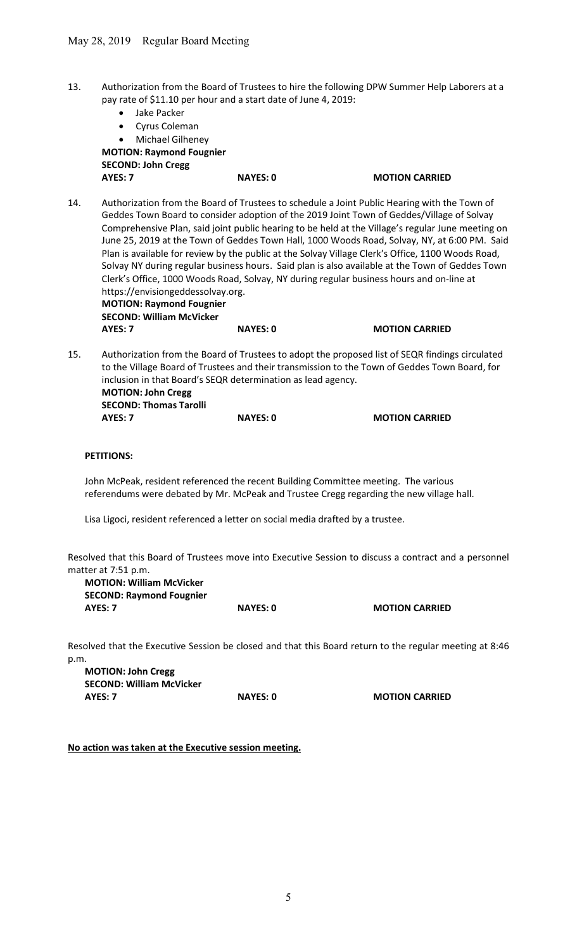- 13. Authorization from the Board of Trustees to hire the following DPW Summer Help Laborers at a pay rate of \$11.10 per hour and a start date of June 4, 2019:
	- Jake Packer
	- Cyrus Coleman
	- Michael Gilheney MOTION: Raymond Fougnier SECOND: John Cregg

AYES: 7 NAYES: 0 MOTION CARRIED

- 14. Authorization from the Board of Trustees to schedule a Joint Public Hearing with the Town of Geddes Town Board to consider adoption of the 2019 Joint Town of Geddes/Village of Solvay Comprehensive Plan, said joint public hearing to be held at the Village's regular June meeting on June 25, 2019 at the Town of Geddes Town Hall, 1000 Woods Road, Solvay, NY, at 6:00 PM. Said Plan is available for review by the public at the Solvay Village Clerk's Office, 1100 Woods Road, Solvay NY during regular business hours. Said plan is also available at the Town of Geddes Town Clerk's Office, 1000 Woods Road, Solvay, NY during regular business hours and on-line at https://envisiongeddessolvay.org. MOTION: Raymond Fougnier SECOND: William McVicker AYES: 7 NAYES: 0 MOTION CARRIED
- 15. Authorization from the Board of Trustees to adopt the proposed list of SEQR findings circulated to the Village Board of Trustees and their transmission to the Town of Geddes Town Board, for inclusion in that Board's SEQR determination as lead agency. MOTION: John Cregg SECOND: Thomas Tarolli AYES: 7 NAYES: 0 MOTION CARRIED

## PETITIONS:

John McPeak, resident referenced the recent Building Committee meeting. The various referendums were debated by Mr. McPeak and Trustee Cregg regarding the new village hall.

Lisa Ligoci, resident referenced a letter on social media drafted by a trustee.

Resolved that this Board of Trustees move into Executive Session to discuss a contract and a personnel matter at 7:51 p.m.

MOTION: William McVicker SECOND: Raymond Fougnier AYES: 7 NAYES: 0 MOTION CARRIED

Resolved that the Executive Session be closed and that this Board return to the regular meeting at 8:46 p.m.

MOTION: John Cregg SECOND: William McVicker AYES: 7 NAYES: 0 MOTION CARRIED

No action was taken at the Executive session meeting.